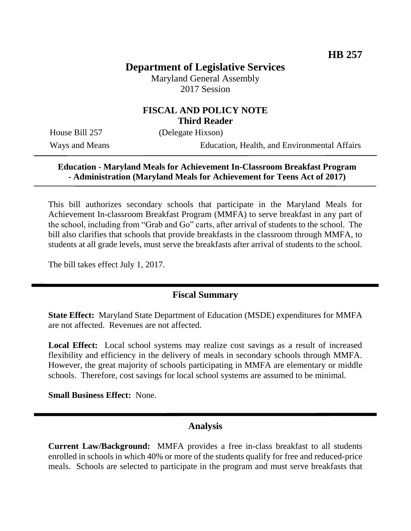# **Department of Legislative Services**

Maryland General Assembly 2017 Session

### **FISCAL AND POLICY NOTE Third Reader**

House Bill 257 (Delegate Hixson)

Ways and Means Education, Health, and Environmental Affairs

#### **Education - Maryland Meals for Achievement In-Classroom Breakfast Program - Administration (Maryland Meals for Achievement for Teens Act of 2017)**

This bill authorizes secondary schools that participate in the Maryland Meals for Achievement In-classroom Breakfast Program (MMFA) to serve breakfast in any part of the school, including from "Grab and Go" carts, after arrival of students to the school. The bill also clarifies that schools that provide breakfasts in the classroom through MMFA, to students at all grade levels, must serve the breakfasts after arrival of students to the school.

The bill takes effect July 1, 2017.

### **Fiscal Summary**

**State Effect:** Maryland State Department of Education (MSDE) expenditures for MMFA are not affected. Revenues are not affected.

**Local Effect:** Local school systems may realize cost savings as a result of increased flexibility and efficiency in the delivery of meals in secondary schools through MMFA. However, the great majority of schools participating in MMFA are elementary or middle schools. Therefore, cost savings for local school systems are assumed to be minimal.

**Small Business Effect:** None.

#### **Analysis**

**Current Law/Background:** MMFA provides a free in-class breakfast to all students enrolled in schools in which 40% or more of the students qualify for free and reduced-price meals. Schools are selected to participate in the program and must serve breakfasts that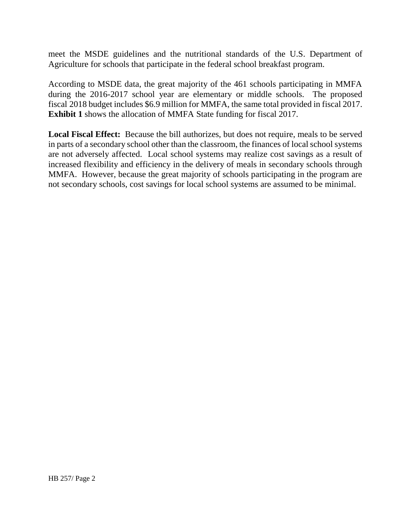meet the MSDE guidelines and the nutritional standards of the U.S. Department of Agriculture for schools that participate in the federal school breakfast program.

According to MSDE data, the great majority of the 461 schools participating in MMFA during the 2016-2017 school year are elementary or middle schools. The proposed fiscal 2018 budget includes \$6.9 million for MMFA, the same total provided in fiscal 2017. **Exhibit 1** shows the allocation of MMFA State funding for fiscal 2017.

**Local Fiscal Effect:** Because the bill authorizes, but does not require, meals to be served in parts of a secondary school other than the classroom, the finances of local school systems are not adversely affected. Local school systems may realize cost savings as a result of increased flexibility and efficiency in the delivery of meals in secondary schools through MMFA. However, because the great majority of schools participating in the program are not secondary schools, cost savings for local school systems are assumed to be minimal.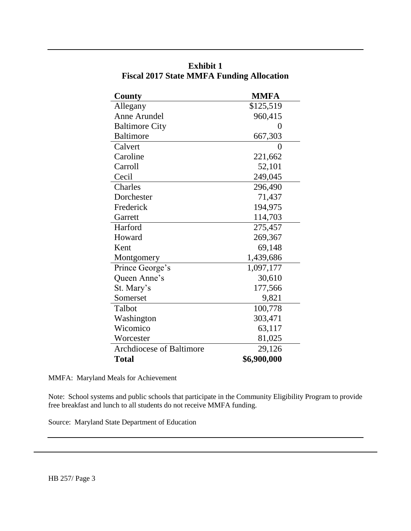| County                          | <b>MMFA</b>    |
|---------------------------------|----------------|
| Allegany                        | \$125,519      |
| Anne Arundel                    | 960,415        |
| <b>Baltimore City</b>           | $\overline{0}$ |
| <b>Baltimore</b>                | 667,303        |
| Calvert                         | 0              |
| Caroline                        | 221,662        |
| Carroll                         | 52,101         |
| Cecil                           | 249,045        |
| Charles                         | 296,490        |
| Dorchester                      | 71,437         |
| Frederick                       | 194,975        |
| Garrett                         | 114,703        |
| Harford                         | 275,457        |
| Howard                          | 269,367        |
| Kent                            | 69,148         |
| Montgomery                      | 1,439,686      |
| Prince George's                 | 1,097,177      |
| Queen Anne's                    | 30,610         |
| St. Mary's                      | 177,566        |
| Somerset                        | 9,821          |
| Talbot                          | 100,778        |
| Washington                      | 303,471        |
| Wicomico                        | 63,117         |
| Worcester                       | 81,025         |
| <b>Archdiocese of Baltimore</b> | 29,126         |
| <b>Total</b>                    | \$6,900,000    |

**Exhibit 1 Fiscal 2017 State MMFA Funding Allocation**

MMFA: Maryland Meals for Achievement

Note: School systems and public schools that participate in the Community Eligibility Program to provide free breakfast and lunch to all students do not receive MMFA funding.

Source: Maryland State Department of Education